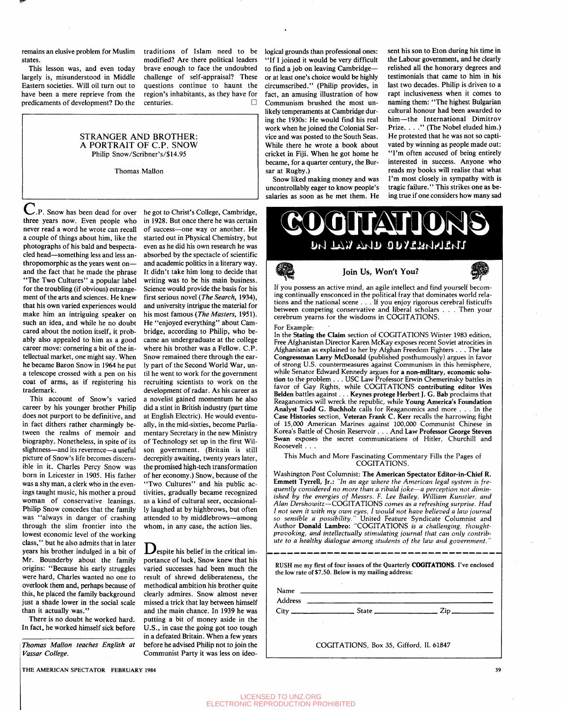remains an elusive problem for Muslim states.

This lesson was, and even today largely is, misunderstood in Middle Eastern societies. Will oil turn out to have been a mere reprieve from the predicaments of development? Do the

modified? Are there political leaders brave enough to face the undoubted challenge of self-appraisal? These questions continue to haunt the region's inhabitants, as they have for centuries. •

## STRANGER AND BROTHER: A PORTRAIT OF C.P. SNOW Philip Snow/Scribner's/\$14.95

Thomas Mallon

traditions of Islam need to be logical grounds than professional ones: "If I joined it would be very difficult to find a job on leaving Cambridge or at least one's choice would be highly circumscribed." (Philip provides, in fact, an amusing illustration of how Communism brushed the most unlikely temperaments at Cambridge during the 1930s: He would find his real work when he joined the Colonial Service and was posted to the South Seas. While there he wrote a book about cricket in Fiji. When he got home he became, for a quarter century, the Bursar at Rugby.)

> Snow liked making money and was uncontrollably eager to know people's

sent his son to Eton during his time in the Labour government, and he clearly relished all the honorary degrees and testimonials that came to him in his last two decades. Philip is driven to a rapt inclusiveness when it comes to naming them: "The highest Bulgarian cultural honour had been awarded to him—the International Dimitrov Prize. . . ." (The Nobel eluded him.) He protested that he was not so captivated by winning as people made out: "I'm often accused of being entirely interested in success. Anyone who reads my books will realise that what I'm most closely in sympathy with is tragic failure." This strikes one as being true if one considers how many sad

salaries as soon as he met them. He

U.P. Snow has been dead for over he got to Christ's College, Cambridge, three years now. Even people who never read a word he wrote can recall of success—one way or another. He a couple of things about him, like the started out in Physical Chemistry, but photographs of his bald and bespectacled head—something less and less anthropomorphic as the years went on and the fact that he made the phrase "The Two Cultures" a popular label for the troubling (if obvious) estrangement of the arts and sciences. He knew that his own varied experiences would make him an intriguing speaker on such an idea, and while he no doubt cared about the notion itself, it probably also appealed to him as a good career move: cornering a bit of the intellectual market, one might say. When he became Baron Snow in 1964 he put a telescope crossed with a pen on his coat of arms, as if registering his trademark.

This account of Snow's varied career by his younger brother Philip does not purport to be definitive, and in fact dithers rather charmingly between the realms of memoir and biography. Nonetheless, in spite of its slightness—and its reverence—a useful picture of Snow's life becomes discernible in it. Charles Percy Snow was born in Leicester in 1905. His father was a shy man, a clerk who in the evenings taught music, his mother a proud woman of conservative leanings. Philip Snow concedes that the family was "always in danger of crashing through the slim frontier into the lowest economic level of the working class," but he also admits that in later years his brother indulged in a bit of Mr. Bounderby about the family origins: "Because his early struggles were hard, Charles wanted no one to overlook them and, perhaps because of this, he placed the family background just a shade lower in the social scale than it actually was."

There is no doubt he worked hard. In fact, he worked himself sick before

*Thomas Mallon teaches English at Vassar College.*

in 1928. But once there he was certain even as he did his own research he was absorbed by the spectacle of scientific and academic politics in a literary way. It didn't take him long to decide that writing was to be his main business. Science would provide the basis for his first serious novel *(The Search,* 1934), and university intrigue the material for his most famous *(The Masters,* 1951). He "enjoyed everything" about Cambridge, according to Philip, who became an undergraduate at the college where his brother was a Fellow. C.P. Snow remained there through the early part of the Second World War, until he went to work for the government recruiting scientists to work on the development of radar. As his career as a novelist gained momentum he also did a stint in British industry (part time at English Electric). He would eventually, in the mid-sixties, become Parliamentary Secretary in the new Ministry of Technology set up in the first Wilson government. (Britain is still decrepitly awaiting, twenty years later, the promised high-tech transformation of her economy.) Snow, because of the "Two Cultures" and his public activities, gradually became recognized as a kind of cultural seer, occasionally laughed at by highbrows, but often attended to by middlebrows—among whom, in any case, the action lies.

**D**espite his belief in the critical importance of luck, Snow knew that his varied successes had been much the result of shrewd deliberateness, the methodical ambition his brother quite clearly admires. Snow almost never missed a trick that lay between himself and the main chance. In 1939 he was putting a bit of money aside in the U.S., in case the going got too tough in a defeated Britain. When a few years before he advised Philip not to join the Communist Party it was less on ideo-



If you possess an active mind, an agile intellect and find yourself becoming continually ensconced in the political fray that dominates world relations and the national scene .. . If you enjoy rigorous cerebral fisticuffs between competing conservative and liberal scholars . . . Then your cerebrum yearns for the wisdoms in COGITATIONS.

For Example:

In the Stating the Claim section of COGITATIONS Winter 1983 edition, Free Afghanistan Director Karen McKay exposes recent Soviet atrocities in Afghanistan as explained to her by Afghan Freedom Fighters . . . The late Congressman Larry McDonald (published posthumously) argues in favor of strong U.S. countermeasures against Communism in this hemisphere, while Senator Edward Kennedy argues for a non-military, economic solution to the problem . . . USC Law Professor Erwin Chemerinsky battles in favor of Gay Rights, while COGITATIONS contributing editor Wes Belden battles against. . . Keynes protege Herbert J. G. Bab proclaims that Reaganomics will wreck the republic, while Young America's Foundation Analyst Todd G. Buchholz calls for Reaganomics and more .. . In the Case Histories section, Veteran Frank C. Kerr recalls the harrowing fight of 15,000 American Marines against 100,000 Communist Chinese in Korea's Battle of Chosin Reservoir . . . And Law Professor George Steven Swan exposes the secret communications of Hitler, Churchill and Roosevelt . . .

## This Much and More Fascinating Commentary Fills the Pages of COGITATIONS.

Washington Post Columnist; The American Spectator Editor-in-Chief R. Emmett Tyrrell, Jr.: *"In an age where the American legal system is frequently considered no more than a ribald joke*—*a perception not diminished by the energies of Messrs. F. Lee Bailey, William Kunstler, and Alan Dershowitz*—COGITATIONS *comes as a refreshing surprise. Had I not seen it with my own eyes, I would not have believed a law journal so sensible a possibility."* United Feature Syndicate Columnist and Author Donald Lambro: "COGITATIONS is *a challenging, thoughtprovoking, and intellectually stimulating journal that can only contribute to a healthy dialogue among students of the law and government."*

RUSH me my first of four issues of the Quarterly COGITATIONS. I've enclosed the low rate of \$7.50. Below is my mailing address:

Name \_ Address

 $City$   $\_$  State $\_$   $_{\_}$   $Zip$ .

COGITATIONS, Box 35, Gifford, IL 61847

THE AMERICAN SPECTATOR FEBRUARY 1984 39